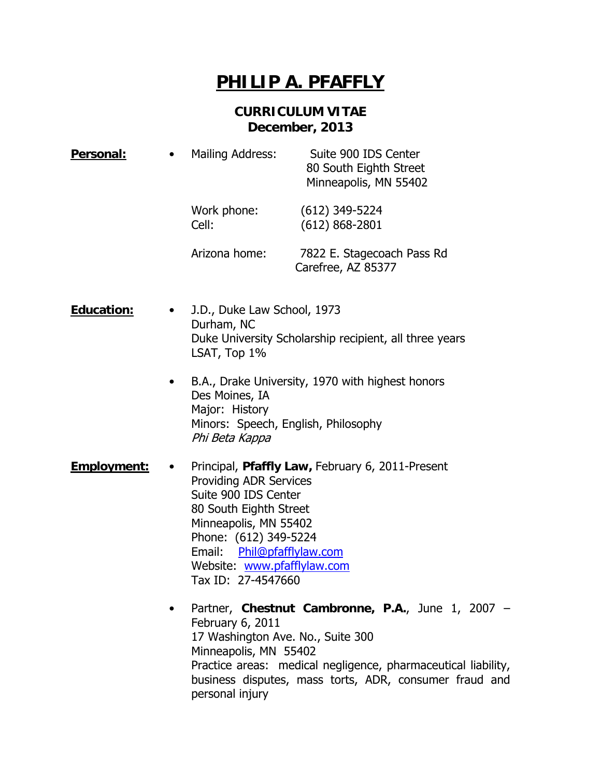## **PHILIP A. PFAFFLY**

## **CURRICULUM VITAE December, 2013**

| Personal:         | <b>Mailing Address:</b><br>$\bullet$                                                                                | Suite 900 IDS Center<br>80 South Eighth Street<br>Minneapolis, MN 55402                                                                                                                                                                                           |
|-------------------|---------------------------------------------------------------------------------------------------------------------|-------------------------------------------------------------------------------------------------------------------------------------------------------------------------------------------------------------------------------------------------------------------|
|                   | Work phone:<br>Cell:                                                                                                | $(612)$ 349-5224<br>$(612) 868 - 2801$                                                                                                                                                                                                                            |
|                   | Arizona home:                                                                                                       | 7822 E. Stagecoach Pass Rd<br>Carefree, AZ 85377                                                                                                                                                                                                                  |
| <b>Education:</b> | J.D., Duke Law School, 1973<br>Durham, NC<br>Duke University Scholarship recipient, all three years<br>LSAT, Top 1% |                                                                                                                                                                                                                                                                   |
|                   | $\bullet$<br>Des Moines, IA<br>Major: History<br>Phi Beta Kappa                                                     | B.A., Drake University, 1970 with highest honors<br>Minors: Speech, English, Philosophy                                                                                                                                                                           |
| Employment:       | ٠<br>Email:                                                                                                         | Principal, Pfaffly Law, February 6, 2011-Present<br><b>Providing ADR Services</b><br>Suite 900 IDS Center<br>80 South Eighth Street<br>Minneapolis, MN 55402<br>Phone: (612) 349-5224<br>Phil@pfafflylaw.com<br>Website: www.pfafflylaw.com<br>Tax ID: 27-4547660 |
|                   | $\bullet$<br>February 6, 2011                                                                                       | Partner, Chestnut Cambronne, P.A., June 1, 2007 -<br>17 Washington Ave. No., Suite 300<br>Minneapolis, MN 55402                                                                                                                                                   |

Practice areas: medical negligence, pharmaceutical liability, business disputes, mass torts, ADR, consumer fraud and personal injury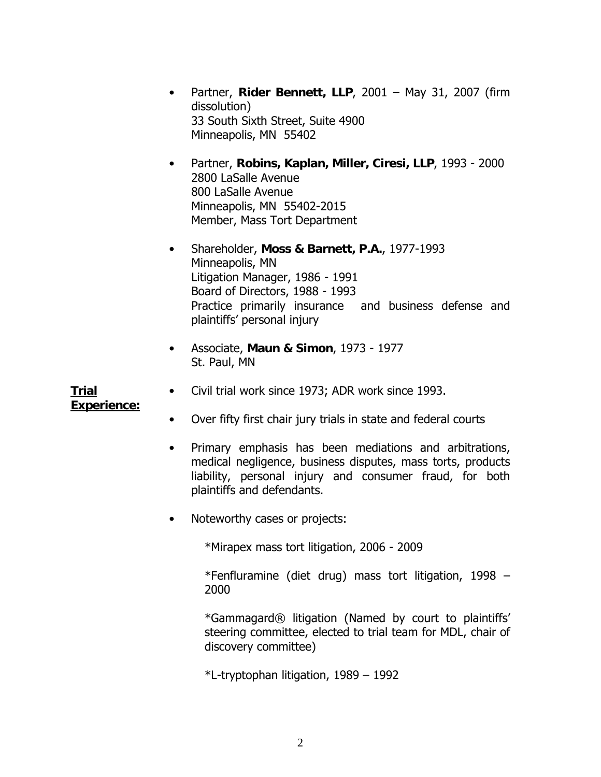- Partner, **Rider Bennett, LLP**, 2001 May 31, 2007 (firm dissolution) 33 South Sixth Street, Suite 4900 Minneapolis, MN 55402
- Partner, **Robins, Kaplan, Miller, Ciresi, LLP**, 1993 2000 2800 LaSalle Avenue 800 LaSalle Avenue Minneapolis, MN 55402-2015 Member, Mass Tort Department
- Shareholder, **Moss & Barnett, P.A.**, 1977-1993 Minneapolis, MN Litigation Manager, 1986 - 1991 Board of Directors, 1988 - 1993 Practice primarily insurance and business defense and plaintiffs' personal injury
- Associate, **Maun & Simon**, 1973 1977 St. Paul, MN

**Trial Experience:**

- Civil trial work since 1973; ADR work since 1993.
- Over fifty first chair jury trials in state and federal courts
- Primary emphasis has been mediations and arbitrations, medical negligence, business disputes, mass torts, products liability, personal injury and consumer fraud, for both plaintiffs and defendants.
- Noteworthy cases or projects:

\*Mirapex mass tort litigation, 2006 - 2009

\*Fenfluramine (diet drug) mass tort litigation, 1998 – 2000

\*Gammagard® litigation (Named by court to plaintiffs' steering committee, elected to trial team for MDL, chair of discovery committee)

\*L-tryptophan litigation, 1989 – 1992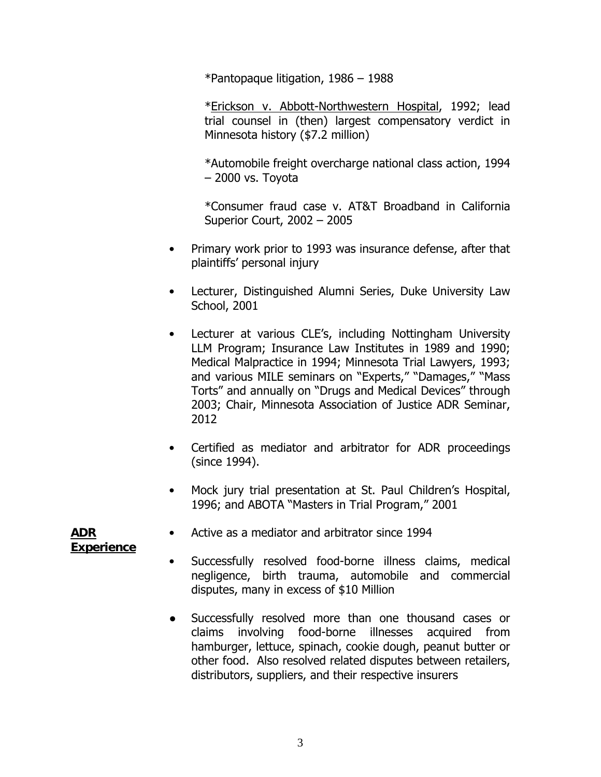\*Pantopaque litigation, 1986 – 1988

\*Erickson v. Abbott-Northwestern Hospital, 1992; lead trial counsel in (then) largest compensatory verdict in Minnesota history (\$7.2 million)

\*Automobile freight overcharge national class action, 1994 – 2000 vs. Toyota

\*Consumer fraud case v. AT&T Broadband in California Superior Court, 2002 – 2005

- Primary work prior to 1993 was insurance defense, after that plaintiffs' personal injury
- Lecturer, Distinguished Alumni Series, Duke University Law School, 2001
- Lecturer at various CLE's, including Nottingham University LLM Program; Insurance Law Institutes in 1989 and 1990; Medical Malpractice in 1994; Minnesota Trial Lawyers, 1993; and various MILE seminars on "Experts," "Damages," "Mass Torts" and annually on "Drugs and Medical Devices" through 2003; Chair, Minnesota Association of Justice ADR Seminar, 2012
- Certified as mediator and arbitrator for ADR proceedings (since 1994).
- Mock jury trial presentation at St. Paul Children's Hospital, 1996; and ABOTA "Masters in Trial Program," 2001

**ADR Experience**

- Active as a mediator and arbitrator since 1994
- Successfully resolved food-borne illness claims, medical negligence, birth trauma, automobile and commercial disputes, many in excess of \$10 Million
- Successfully resolved more than one thousand cases or claims involving food-borne illnesses acquired from hamburger, lettuce, spinach, cookie dough, peanut butter or other food. Also resolved related disputes between retailers, distributors, suppliers, and their respective insurers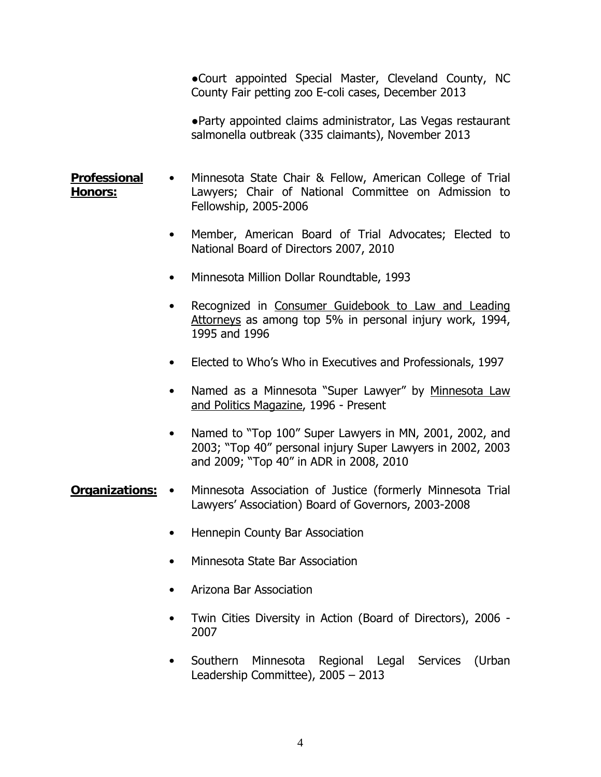●Court appointed Special Master, Cleveland County, NC County Fair petting zoo E-coli cases, December 2013

●Party appointed claims administrator, Las Vegas restaurant salmonella outbreak (335 claimants), November 2013

- **Professional Honors:** • Minnesota State Chair & Fellow, American College of Trial Lawyers; Chair of National Committee on Admission to Fellowship, 2005-2006
	- Member, American Board of Trial Advocates; Elected to National Board of Directors 2007, 2010
	- Minnesota Million Dollar Roundtable, 1993
	- Recognized in Consumer Guidebook to Law and Leading Attorneys as among top 5% in personal injury work, 1994, 1995 and 1996
	- Elected to Who's Who in Executives and Professionals, 1997
	- Named as a Minnesota "Super Lawyer" by Minnesota Law and Politics Magazine, 1996 - Present
	- Named to "Top 100" Super Lawyers in MN, 2001, 2002, and 2003; "Top 40" personal injury Super Lawyers in 2002, 2003 and 2009; "Top 40" in ADR in 2008, 2010

## **Organizations:** • Minnesota Association of Justice (formerly Minnesota Trial Lawyers' Association) Board of Governors, 2003-2008

- Hennepin County Bar Association
- Minnesota State Bar Association
- Arizona Bar Association
- Twin Cities Diversity in Action (Board of Directors), 2006 2007
- Southern Minnesota Regional Legal Services (Urban Leadership Committee), 2005 – 2013